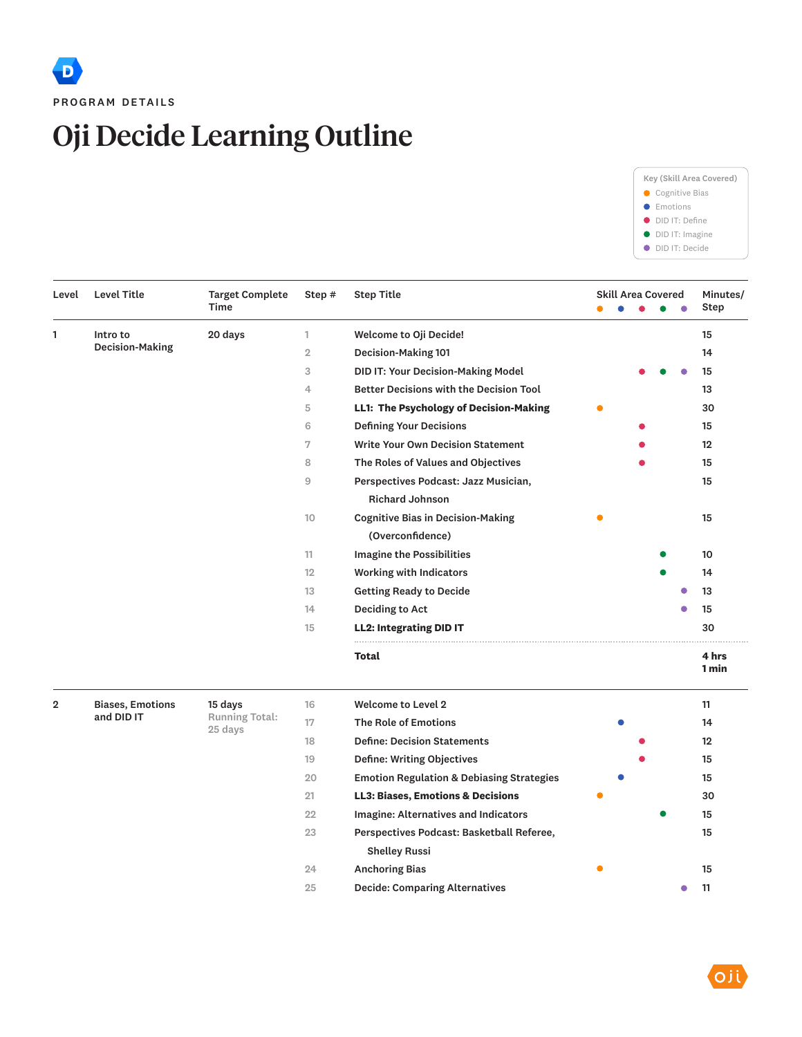## Oji Decide Learning Outline



| Level          | Level Title                        | <b>Target Complete</b><br><b>Time</b> | Step #          | <b>Step Title</b>                                    |  | <b>Skill Area Covered</b> |        | Minutes/<br>Step |
|----------------|------------------------------------|---------------------------------------|-----------------|------------------------------------------------------|--|---------------------------|--------|------------------|
|                |                                    |                                       |                 |                                                      |  |                           |        |                  |
| 1              | Intro to<br><b>Decision-Making</b> | 20 days                               | 1               | Welcome to Oji Decide!                               |  |                           |        | 15               |
|                |                                    |                                       | $\overline{2}$  | Decision-Making 101                                  |  |                           |        | 14               |
|                |                                    |                                       | 3               | DID IT: Your Decision-Making Model                   |  |                           |        | 15               |
|                |                                    |                                       | $\overline{4}$  | <b>Better Decisions with the Decision Tool</b>       |  |                           |        | 13               |
|                |                                    |                                       | 5               | LL1: The Psychology of Decision-Making               |  |                           |        | 30               |
|                |                                    |                                       | 6               | <b>Defining Your Decisions</b>                       |  |                           |        | 15               |
|                |                                    |                                       | 7               | <b>Write Your Own Decision Statement</b>             |  |                           |        | 12               |
|                |                                    |                                       | 8               | The Roles of Values and Objectives                   |  |                           |        | 15               |
|                |                                    |                                       | 9               | Perspectives Podcast: Jazz Musician,                 |  |                           |        | 15               |
|                |                                    |                                       |                 | <b>Richard Johnson</b>                               |  |                           |        |                  |
|                |                                    |                                       | 10 <sup>°</sup> | <b>Cognitive Bias in Decision-Making</b>             |  |                           |        | 15               |
|                |                                    |                                       |                 | (Overconfidence)                                     |  |                           |        |                  |
|                |                                    |                                       | 11              | <b>Imagine the Possibilities</b>                     |  |                           |        | 10               |
|                |                                    |                                       | 12              | <b>Working with Indicators</b>                       |  |                           |        | 14               |
|                |                                    |                                       | 13              | <b>Getting Ready to Decide</b>                       |  |                           |        | 13               |
|                |                                    |                                       | 14              | Deciding to Act                                      |  |                           |        | 15               |
|                |                                    |                                       | 15              | <b>LL2: Integrating DID IT</b>                       |  |                           |        | 30               |
|                |                                    |                                       |                 | Total                                                |  |                           |        | 4 hrs<br>1 min   |
| $\overline{2}$ | <b>Biases, Emotions</b>            | 15 days                               | 16              | <b>Welcome to Level 2</b>                            |  |                           |        | 11               |
|                | and DID IT                         | Running Total:<br>25 days             | 17              | <b>The Role of Emotions</b>                          |  |                           |        | 14               |
|                |                                    |                                       | 18              | <b>Define: Decision Statements</b>                   |  |                           |        | 12               |
|                |                                    |                                       | 19              | <b>Define: Writing Objectives</b>                    |  |                           |        | 15               |
|                |                                    |                                       | 20              | <b>Emotion Regulation &amp; Debiasing Strategies</b> |  |                           |        | 15               |
|                |                                    |                                       | 21              | <b>LL3: Biases, Emotions &amp; Decisions</b>         |  |                           |        | 30               |
|                |                                    |                                       | 22              | Imagine: Alternatives and Indicators                 |  |                           |        | 15               |
|                |                                    |                                       | 23              | Perspectives Podcast: Basketball Referee,            |  |                           |        | 15               |
|                |                                    |                                       |                 | <b>Shelley Russi</b>                                 |  |                           |        |                  |
|                |                                    |                                       | 24              | <b>Anchoring Bias</b>                                |  |                           |        | 15               |
|                |                                    |                                       | 25              | <b>Decide: Comparing Alternatives</b>                |  |                           | $\Box$ | 11               |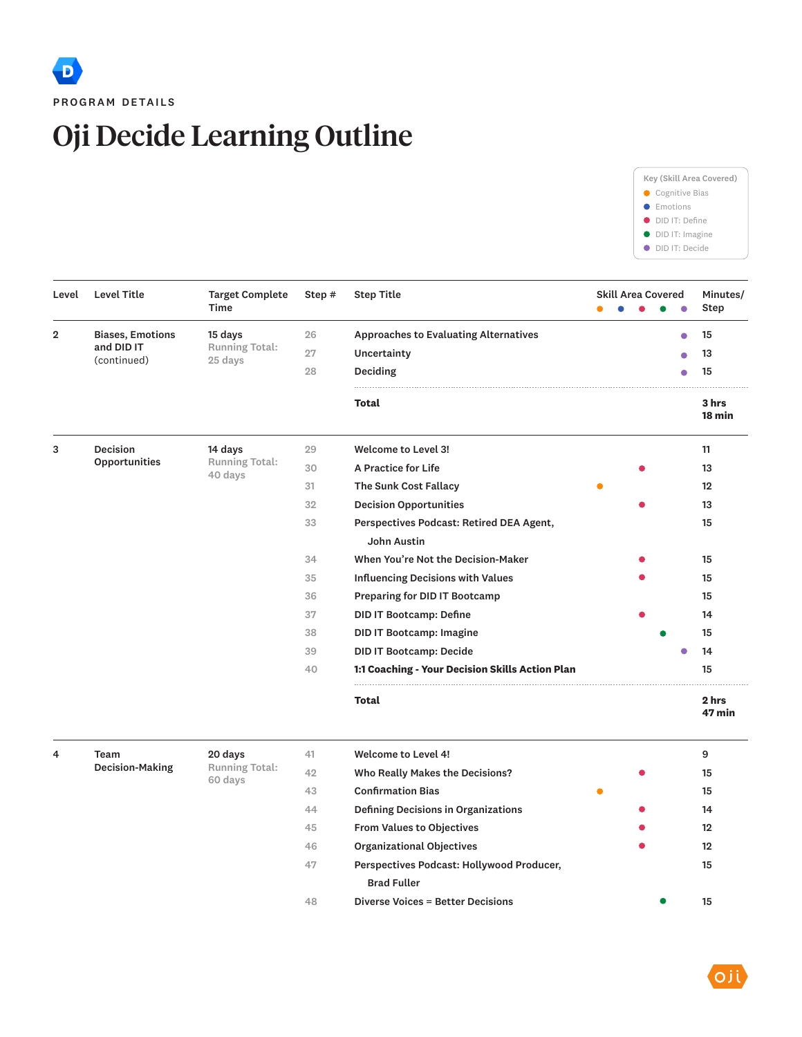## Oji Decide Learning Outline



| Level          | <b>Level Title</b>                    | <b>Target Complete</b><br>Time   | Step # | <b>Step Title</b>                               |  |  | <b>Skill Area Covered</b> |  | $\bullet$ | Minutes/<br>Step  |
|----------------|---------------------------------------|----------------------------------|--------|-------------------------------------------------|--|--|---------------------------|--|-----------|-------------------|
| $\overline{2}$ | <b>Biases, Emotions</b><br>and DID IT | 15 days<br><b>Running Total:</b> | 26     | <b>Approaches to Evaluating Alternatives</b>    |  |  |                           |  | Ο         | 15                |
|                |                                       |                                  | 27     | Uncertainty                                     |  |  |                           |  |           | 13                |
|                | (continued)                           | 25 days                          | 28     | Deciding                                        |  |  | 15                        |  |           |                   |
|                |                                       |                                  |        | Total                                           |  |  |                           |  |           | 3 hrs<br>$18$ min |
| 3              | <b>Decision</b>                       | 14 days                          | 29     | Welcome to Level 3!                             |  |  |                           |  |           | 11                |
|                | Opportunities                         | <b>Running Total:</b><br>40 days | 30     | A Practice for Life                             |  |  |                           |  |           | 13                |
|                |                                       |                                  | 31     | The Sunk Cost Fallacy                           |  |  |                           |  |           | 12                |
|                |                                       |                                  | 32     | <b>Decision Opportunities</b>                   |  |  | 13                        |  |           |                   |
|                |                                       |                                  | 33     | Perspectives Podcast: Retired DEA Agent,        |  |  | 15                        |  |           |                   |
|                |                                       |                                  |        | <b>John Austin</b>                              |  |  |                           |  |           |                   |
|                |                                       |                                  | 34     | When You're Not the Decision-Maker              |  |  |                           |  | 15        |                   |
|                |                                       |                                  | 35     | <b>Influencing Decisions with Values</b>        |  |  |                           |  |           | 15                |
|                |                                       |                                  | 36     | Preparing for DID IT Bootcamp                   |  |  |                           |  | 15        |                   |
|                |                                       |                                  | 37     | <b>DID IT Bootcamp: Define</b>                  |  |  |                           |  | 14        |                   |
|                |                                       |                                  | 38     | <b>DID IT Bootcamp: Imagine</b>                 |  |  |                           |  |           | 15                |
|                |                                       |                                  | 39     | <b>DID IT Bootcamp: Decide</b>                  |  |  |                           |  |           | 14                |
|                |                                       |                                  | 40     | 1:1 Coaching - Your Decision Skills Action Plan |  |  |                           |  |           | 15                |
|                |                                       |                                  |        | <b>Total</b>                                    |  |  |                           |  |           | 2 hrs<br>47 min   |
| $\overline{4}$ | Team                                  | 20 days                          | 41     | <b>Welcome to Level 4!</b>                      |  |  |                           |  |           | 9                 |
|                | <b>Decision-Making</b>                | Running Total:<br>60 days        | 42     | Who Really Makes the Decisions?                 |  |  |                           |  |           | 15                |
|                |                                       |                                  | 43     | <b>Confirmation Bias</b>                        |  |  |                           |  |           | 15                |
|                |                                       |                                  | 44     | <b>Defining Decisions in Organizations</b>      |  |  |                           |  |           | 14                |
|                |                                       |                                  | 45     | <b>From Values to Objectives</b>                |  |  |                           |  |           | 12                |
|                |                                       |                                  | 46     | <b>Organizational Objectives</b>                |  |  |                           |  |           | 12                |
|                |                                       |                                  | 47     | Perspectives Podcast: Hollywood Producer,       |  |  |                           |  |           | 15                |

| 4 | Team            | 20 days                                                                                                                                                                                                     | 41 | Welcome to Level 4!                 |    | 9  |
|---|-----------------|-------------------------------------------------------------------------------------------------------------------------------------------------------------------------------------------------------------|----|-------------------------------------|----|----|
|   | Decision-Making | <b>Running Total:</b><br>60 days                                                                                                                                                                            | 42 | Who Really Makes the Decisions?     |    | 15 |
|   |                 |                                                                                                                                                                                                             | 43 | <b>Confirmation Bias</b>            |    | 15 |
|   |                 |                                                                                                                                                                                                             | 44 | Defining Decisions in Organizations |    | 14 |
|   |                 | 45<br><b>From Values to Objectives</b><br><b>Organizational Objectives</b><br>46<br>47<br>Perspectives Podcast: Hollywood Producer,<br><b>Brad Fuller</b><br><b>Diverse Voices = Better Decisions</b><br>48 |    | 12                                  |    |    |
|   |                 |                                                                                                                                                                                                             |    |                                     | 12 |    |
|   |                 |                                                                                                                                                                                                             |    |                                     | 15 |    |
|   |                 |                                                                                                                                                                                                             |    |                                     |    |    |
|   |                 |                                                                                                                                                                                                             |    |                                     |    | 15 |